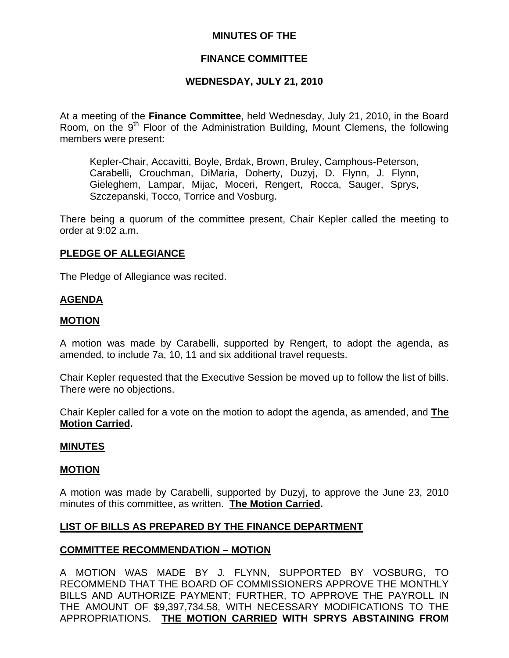## **MINUTES OF THE**

## **FINANCE COMMITTEE**

## **WEDNESDAY, JULY 21, 2010**

At a meeting of the **Finance Committee**, held Wednesday, July 21, 2010, in the Board Room, on the  $9<sup>th</sup>$  Floor of the Administration Building, Mount Clemens, the following members were present:

Kepler-Chair, Accavitti, Boyle, Brdak, Brown, Bruley, Camphous-Peterson, Carabelli, Crouchman, DiMaria, Doherty, Duzyj, D. Flynn, J. Flynn, Gieleghem, Lampar, Mijac, Moceri, Rengert, Rocca, Sauger, Sprys, Szczepanski, Tocco, Torrice and Vosburg.

There being a quorum of the committee present, Chair Kepler called the meeting to order at 9:02 a.m.

### **PLEDGE OF ALLEGIANCE**

The Pledge of Allegiance was recited.

#### **AGENDA**

#### **MOTION**

A motion was made by Carabelli, supported by Rengert, to adopt the agenda, as amended, to include 7a, 10, 11 and six additional travel requests.

Chair Kepler requested that the Executive Session be moved up to follow the list of bills. There were no objections.

Chair Kepler called for a vote on the motion to adopt the agenda, as amended, and **The Motion Carried.** 

#### **MINUTES**

#### **MOTION**

A motion was made by Carabelli, supported by Duzyj, to approve the June 23, 2010 minutes of this committee, as written. **The Motion Carried.** 

#### **LIST OF BILLS AS PREPARED BY THE FINANCE DEPARTMENT**

#### **COMMITTEE RECOMMENDATION – MOTION**

A MOTION WAS MADE BY J. FLYNN, SUPPORTED BY VOSBURG, TO RECOMMEND THAT THE BOARD OF COMMISSIONERS APPROVE THE MONTHLY BILLS AND AUTHORIZE PAYMENT; FURTHER, TO APPROVE THE PAYROLL IN THE AMOUNT OF \$9,397,734.58, WITH NECESSARY MODIFICATIONS TO THE APPROPRIATIONS. **THE MOTION CARRIED WITH SPRYS ABSTAINING FROM**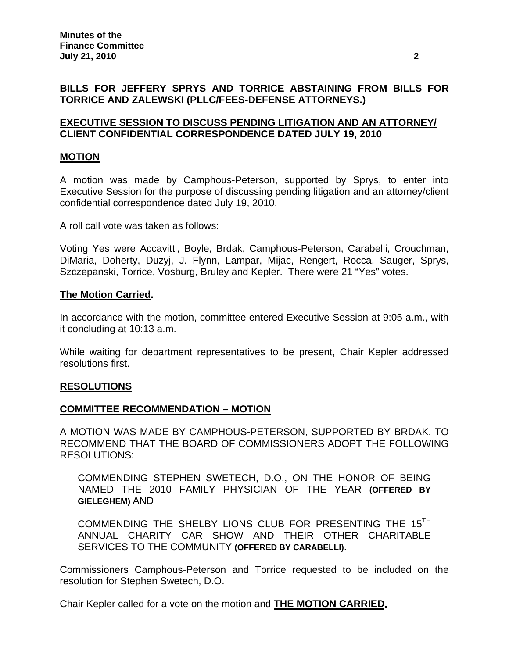## **BILLS FOR JEFFERY SPRYS AND TORRICE ABSTAINING FROM BILLS FOR TORRICE AND ZALEWSKI (PLLC/FEES-DEFENSE ATTORNEYS.)**

## **EXECUTIVE SESSION TO DISCUSS PENDING LITIGATION AND AN ATTORNEY/ CLIENT CONFIDENTIAL CORRESPONDENCE DATED JULY 19, 2010**

## **MOTION**

A motion was made by Camphous-Peterson, supported by Sprys, to enter into Executive Session for the purpose of discussing pending litigation and an attorney/client confidential correspondence dated July 19, 2010.

A roll call vote was taken as follows:

Voting Yes were Accavitti, Boyle, Brdak, Camphous-Peterson, Carabelli, Crouchman, DiMaria, Doherty, Duzyj, J. Flynn, Lampar, Mijac, Rengert, Rocca, Sauger, Sprys, Szczepanski, Torrice, Vosburg, Bruley and Kepler. There were 21 "Yes" votes.

#### **The Motion Carried.**

In accordance with the motion, committee entered Executive Session at 9:05 a.m., with it concluding at 10:13 a.m.

While waiting for department representatives to be present, Chair Kepler addressed resolutions first.

#### **RESOLUTIONS**

#### **COMMITTEE RECOMMENDATION – MOTION**

A MOTION WAS MADE BY CAMPHOUS-PETERSON, SUPPORTED BY BRDAK, TO RECOMMEND THAT THE BOARD OF COMMISSIONERS ADOPT THE FOLLOWING RESOLUTIONS:

COMMENDING STEPHEN SWETECH, D.O., ON THE HONOR OF BEING NAMED THE 2010 FAMILY PHYSICIAN OF THE YEAR **(OFFERED BY GIELEGHEM)** AND

COMMENDING THE SHELBY LIONS CLUB FOR PRESENTING THE 15<sup>TH</sup> ANNUAL CHARITY CAR SHOW AND THEIR OTHER CHARITABLE SERVICES TO THE COMMUNITY **(OFFERED BY CARABELLI)**.

Commissioners Camphous-Peterson and Torrice requested to be included on the resolution for Stephen Swetech, D.O.

Chair Kepler called for a vote on the motion and **THE MOTION CARRIED.**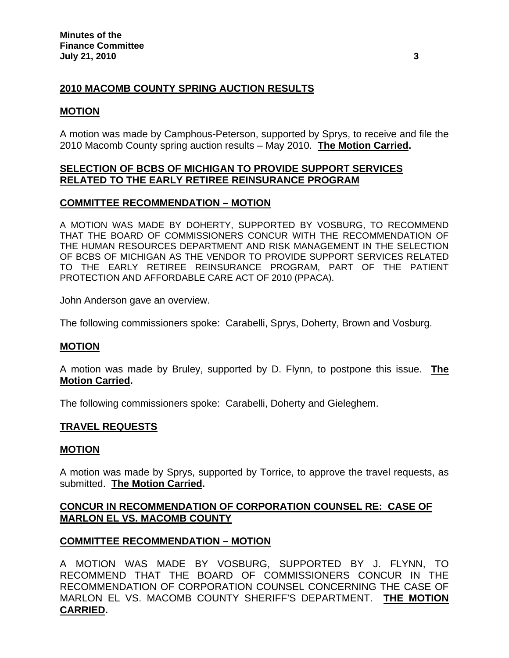# **2010 MACOMB COUNTY SPRING AUCTION RESULTS**

## **MOTION**

A motion was made by Camphous-Peterson, supported by Sprys, to receive and file the 2010 Macomb County spring auction results – May 2010. **The Motion Carried.** 

## **SELECTION OF BCBS OF MICHIGAN TO PROVIDE SUPPORT SERVICES RELATED TO THE EARLY RETIREE REINSURANCE PROGRAM**

## **COMMITTEE RECOMMENDATION – MOTION**

A MOTION WAS MADE BY DOHERTY, SUPPORTED BY VOSBURG, TO RECOMMEND THAT THE BOARD OF COMMISSIONERS CONCUR WITH THE RECOMMENDATION OF THE HUMAN RESOURCES DEPARTMENT AND RISK MANAGEMENT IN THE SELECTION OF BCBS OF MICHIGAN AS THE VENDOR TO PROVIDE SUPPORT SERVICES RELATED TO THE EARLY RETIREE REINSURANCE PROGRAM, PART OF THE PATIENT PROTECTION AND AFFORDABLE CARE ACT OF 2010 (PPACA).

John Anderson gave an overview.

The following commissioners spoke: Carabelli, Sprys, Doherty, Brown and Vosburg.

# **MOTION**

A motion was made by Bruley, supported by D. Flynn, to postpone this issue. **The Motion Carried.** 

The following commissioners spoke: Carabelli, Doherty and Gieleghem.

## **TRAVEL REQUESTS**

## **MOTION**

A motion was made by Sprys, supported by Torrice, to approve the travel requests, as submitted. **The Motion Carried.** 

## **CONCUR IN RECOMMENDATION OF CORPORATION COUNSEL RE: CASE OF MARLON EL VS. MACOMB COUNTY**

# **COMMITTEE RECOMMENDATION – MOTION**

A MOTION WAS MADE BY VOSBURG, SUPPORTED BY J. FLYNN, TO RECOMMEND THAT THE BOARD OF COMMISSIONERS CONCUR IN THE RECOMMENDATION OF CORPORATION COUNSEL CONCERNING THE CASE OF MARLON EL VS. MACOMB COUNTY SHERIFF'S DEPARTMENT. **THE MOTION CARRIED.**